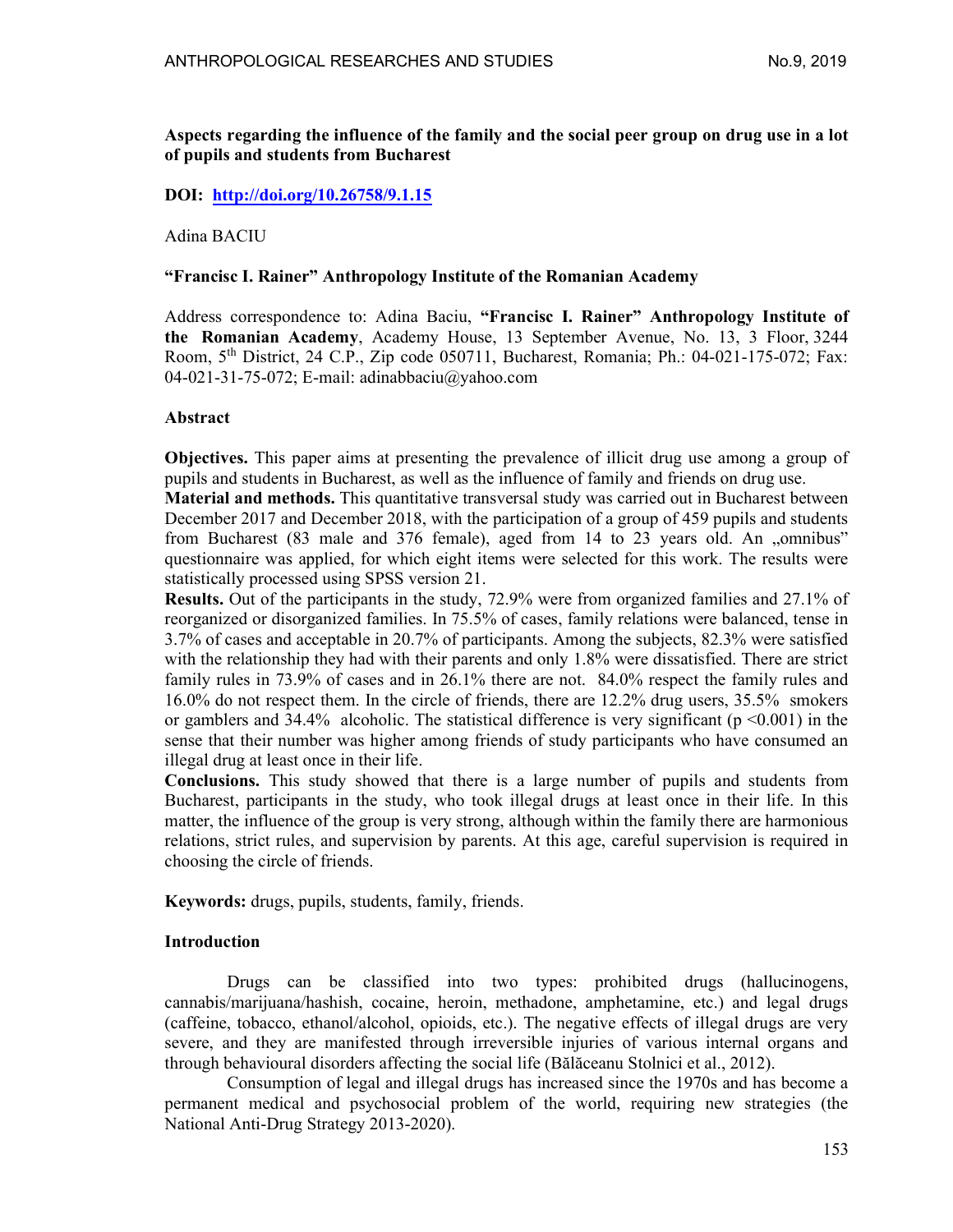Aspects regarding the influence of the family and the social peer group on drug use in a lot of pupils and students from Bucharest

## DOI: http://doi.org/10.26758/9.1.15

#### Adina BACIU

### "Francisc I. Rainer" Anthropology Institute of the Romanian Academy

Address correspondence to: Adina Baciu, "Francisc I. Rainer" Anthropology Institute of the Romanian Academy, Academy House, 13 September Avenue, No. 13, 3 Floor, 3244 Room, 5th District, 24 C.P., Zip code 050711, Bucharest, Romania; Ph.: 04-021-175-072; Fax: 04-021-31-75-072; E-mail: adinabbaciu@yahoo.com

### Abstract

Objectives. This paper aims at presenting the prevalence of illicit drug use among a group of pupils and students in Bucharest, as well as the influence of family and friends on drug use.

Material and methods. This quantitative transversal study was carried out in Bucharest between December 2017 and December 2018, with the participation of a group of 459 pupils and students from Bucharest (83 male and 376 female), aged from 14 to 23 years old. An "omnibus" questionnaire was applied, for which eight items were selected for this work. The results were statistically processed using SPSS version 21.

Results. Out of the participants in the study, 72.9% were from organized families and 27.1% of reorganized or disorganized families. In 75.5% of cases, family relations were balanced, tense in 3.7% of cases and acceptable in 20.7% of participants. Among the subjects, 82.3% were satisfied with the relationship they had with their parents and only 1.8% were dissatisfied. There are strict family rules in 73.9% of cases and in 26.1% there are not. 84.0% respect the family rules and 16.0% do not respect them. In the circle of friends, there are 12.2% drug users, 35.5% smokers or gamblers and  $34.4\%$  alcoholic. The statistical difference is very significant ( $p \le 0.001$ ) in the sense that their number was higher among friends of study participants who have consumed an illegal drug at least once in their life.

Conclusions. This study showed that there is a large number of pupils and students from Bucharest, participants in the study, who took illegal drugs at least once in their life. In this matter, the influence of the group is very strong, although within the family there are harmonious relations, strict rules, and supervision by parents. At this age, careful supervision is required in choosing the circle of friends.

Keywords: drugs, pupils, students, family, friends.

## Introduction

Drugs can be classified into two types: prohibited drugs (hallucinogens, cannabis/marijuana/hashish, cocaine, heroin, methadone, amphetamine, etc.) and legal drugs (caffeine, tobacco, ethanol/alcohol, opioids, etc.). The negative effects of illegal drugs are very severe, and they are manifested through irreversible injuries of various internal organs and through behavioural disorders affecting the social life (Bălăceanu Stolnici et al., 2012).

Consumption of legal and illegal drugs has increased since the 1970s and has become a permanent medical and psychosocial problem of the world, requiring new strategies (the National Anti-Drug Strategy 2013-2020).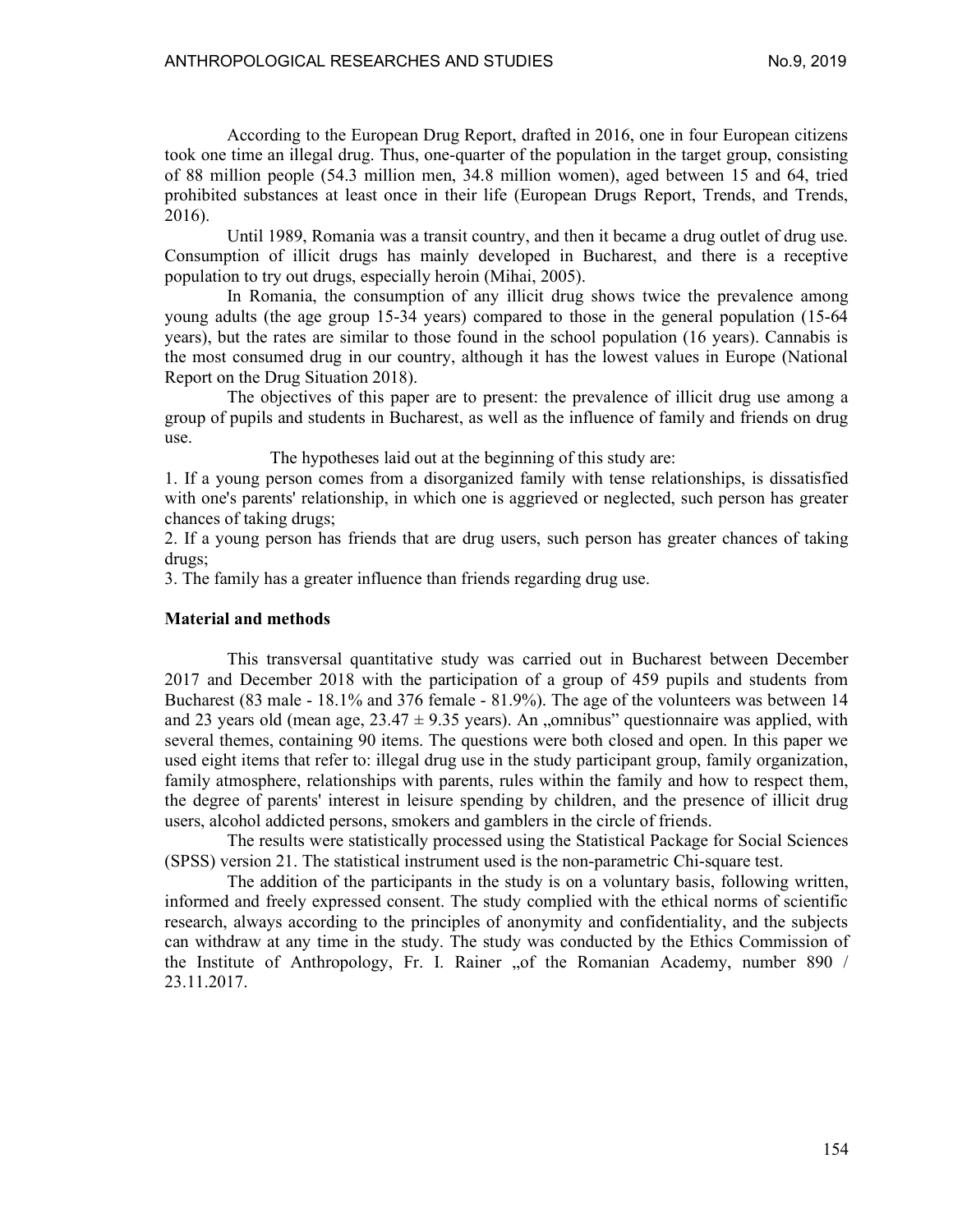According to the European Drug Report, drafted in 2016, one in four European citizens took one time an illegal drug. Thus, one-quarter of the population in the target group, consisting of 88 million people (54.3 million men, 34.8 million women), aged between 15 and 64, tried prohibited substances at least once in their life (European Drugs Report, Trends, and Trends, 2016).

Until 1989, Romania was a transit country, and then it became a drug outlet of drug use. Consumption of illicit drugs has mainly developed in Bucharest, and there is a receptive population to try out drugs, especially heroin (Mihai, 2005).

In Romania, the consumption of any illicit drug shows twice the prevalence among young adults (the age group 15-34 years) compared to those in the general population (15-64 years), but the rates are similar to those found in the school population (16 years). Cannabis is the most consumed drug in our country, although it has the lowest values in Europe (National Report on the Drug Situation 2018).

The objectives of this paper are to present: the prevalence of illicit drug use among a group of pupils and students in Bucharest, as well as the influence of family and friends on drug use.

The hypotheses laid out at the beginning of this study are:

1. If a young person comes from a disorganized family with tense relationships, is dissatisfied with one's parents' relationship, in which one is aggrieved or neglected, such person has greater chances of taking drugs;

2. If a young person has friends that are drug users, such person has greater chances of taking drugs;

3. The family has a greater influence than friends regarding drug use.

#### Material and methods

This transversal quantitative study was carried out in Bucharest between December 2017 and December 2018 with the participation of a group of 459 pupils and students from Bucharest (83 male - 18.1% and 376 female - 81.9%). The age of the volunteers was between 14 and 23 years old (mean age,  $23.47 \pm 9.35$  years). An , omnibus" questionnaire was applied, with several themes, containing 90 items. The questions were both closed and open. In this paper we used eight items that refer to: illegal drug use in the study participant group, family organization, family atmosphere, relationships with parents, rules within the family and how to respect them, the degree of parents' interest in leisure spending by children, and the presence of illicit drug users, alcohol addicted persons, smokers and gamblers in the circle of friends.

The results were statistically processed using the Statistical Package for Social Sciences (SPSS) version 21. The statistical instrument used is the non-parametric Chi-square test.

The addition of the participants in the study is on a voluntary basis, following written, informed and freely expressed consent. The study complied with the ethical norms of scientific research, always according to the principles of anonymity and confidentiality, and the subjects can withdraw at any time in the study. The study was conducted by the Ethics Commission of the Institute of Anthropology, Fr. I. Rainer "of the Romanian Academy, number 890 / 23.11.2017.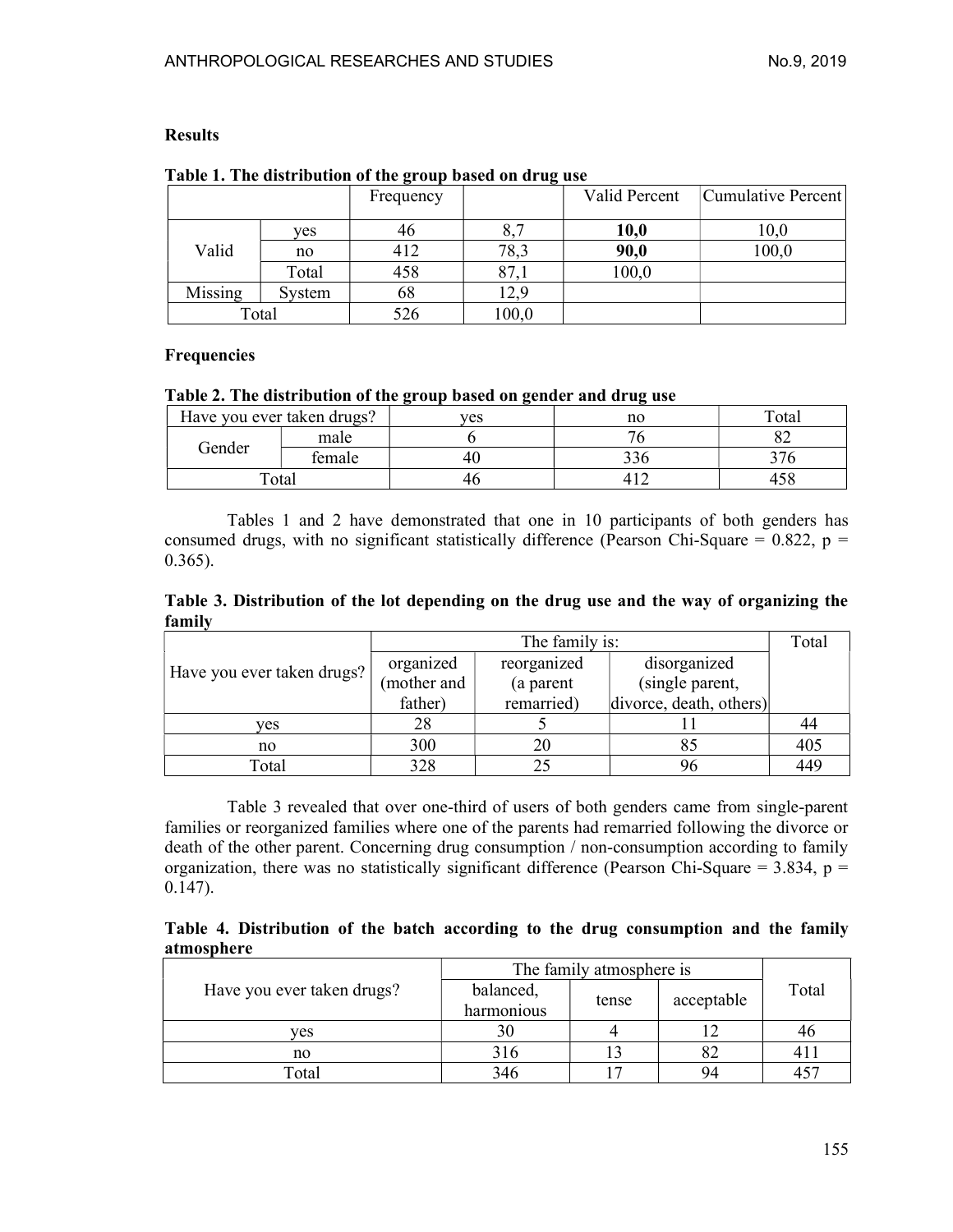# Results

|         |        | $\bullet$<br>Frequency | -     | Valid Percent | Cumulative Percent |
|---------|--------|------------------------|-------|---------------|--------------------|
|         | ves    | 46                     | 8,7   | 10,0          | 10,0               |
| Valid   | no     | 412                    | 78,3  | 90,0          | 100,0              |
|         | Total  | 458                    | 87,1  | 100,0         |                    |
| Missing | System | 68                     | 12,9  |               |                    |
| Total   |        | 526                    | 100,0 |               |                    |

# Table 1. The distribution of the group based on drug use

# Frequencies

### Table 2. The distribution of the group based on gender and drug use

| Have you ever taken drugs? |                        | ves | no | $_{\rm \tau\sigma}$ |
|----------------------------|------------------------|-----|----|---------------------|
|                            | male                   |     |    | ⊿ت                  |
| Gender                     | female                 |     |    |                     |
|                            | $\tau$ <sub>otal</sub> |     |    |                     |

Tables 1 and 2 have demonstrated that one in 10 participants of both genders has consumed drugs, with no significant statistically difference (Pearson Chi-Square =  $0.822$ , p =  $0.365$ ).

|        | Table 3. Distribution of the lot depending on the drug use and the way of organizing the |  |  |  |  |  |  |  |
|--------|------------------------------------------------------------------------------------------|--|--|--|--|--|--|--|
| family |                                                                                          |  |  |  |  |  |  |  |

|                            |             | Total       |                         |     |
|----------------------------|-------------|-------------|-------------------------|-----|
| Have you ever taken drugs? | organized   | reorganized | disorganized            |     |
|                            | (mother and | (a parent   | (single parent,         |     |
|                            | father)     | remarried)  | divorce, death, others) |     |
| ves                        | 28          |             |                         | -44 |
| no                         | 300         |             |                         | 405 |
| Total                      | 328         |             |                         | 449 |

Table 3 revealed that over one-third of users of both genders came from single-parent families or reorganized families where one of the parents had remarried following the divorce or death of the other parent. Concerning drug consumption / non-consumption according to family organization, there was no statistically significant difference (Pearson Chi-Square =  $3.834$ , p = 0.147).

Table 4. Distribution of the batch according to the drug consumption and the family atmosphere

|                            | The family atmosphere is |       |            |       |  |
|----------------------------|--------------------------|-------|------------|-------|--|
| Have you ever taken drugs? | balanced,                |       | acceptable | Total |  |
|                            | harmonious               | tense |            |       |  |
| ves                        |                          |       |            |       |  |
| no                         | 316                      |       |            |       |  |
| Total                      |                          |       | 94         |       |  |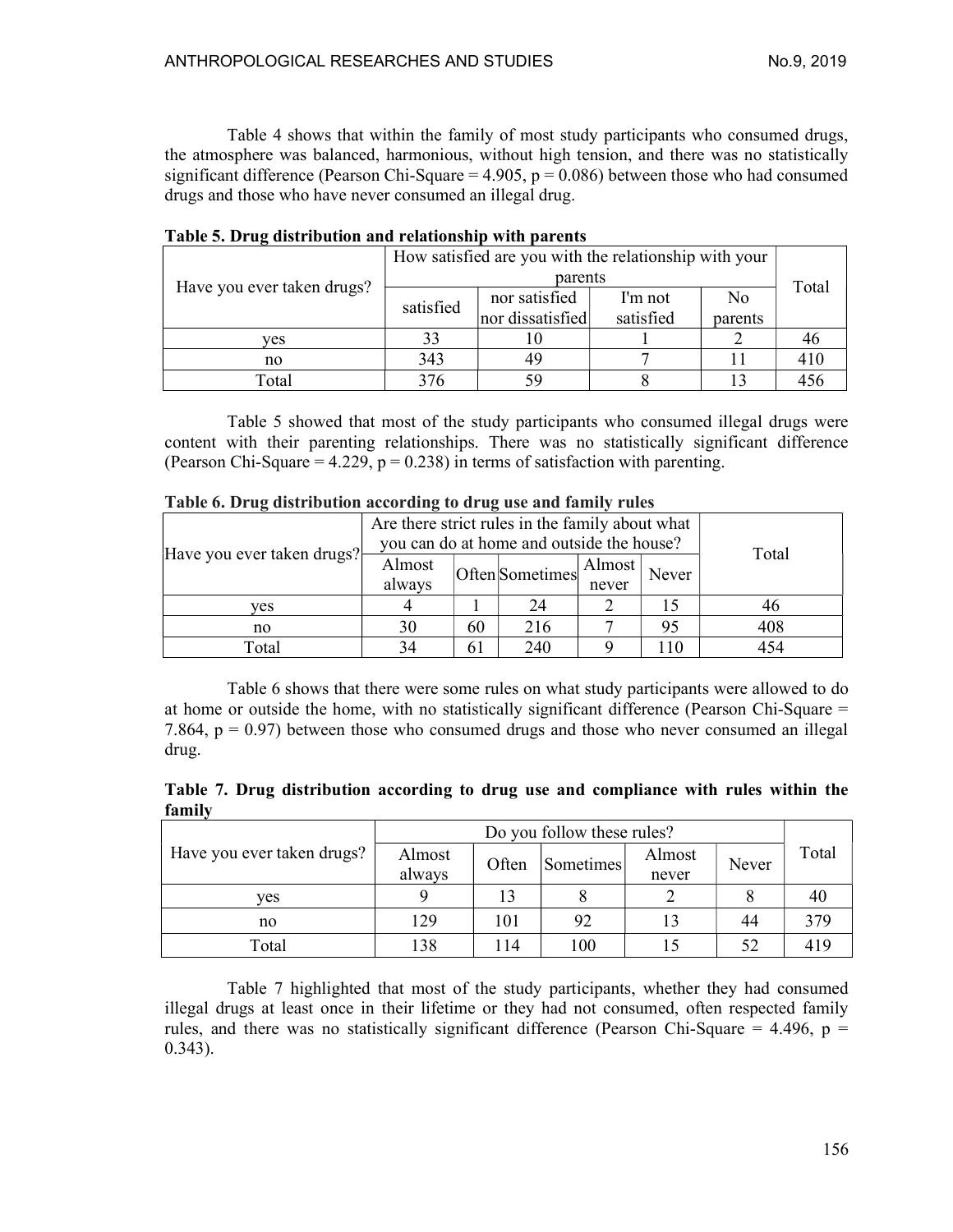Table 4 shows that within the family of most study participants who consumed drugs, the atmosphere was balanced, harmonious, without high tension, and there was no statistically significant difference (Pearson Chi-Square =  $4.905$ , p = 0.086) between those who had consumed drugs and those who have never consumed an illegal drug.

|                            | How satisfied are you with the relationship with your |                  |           |                |       |  |  |  |
|----------------------------|-------------------------------------------------------|------------------|-----------|----------------|-------|--|--|--|
|                            |                                                       | parents          |           |                |       |  |  |  |
| Have you ever taken drugs? |                                                       | nor satisfied    | I'm not   | N <sub>0</sub> | Total |  |  |  |
|                            | satisfied                                             | nor dissatisfied | satisfied | parents        |       |  |  |  |
| ves                        |                                                       |                  |           |                |       |  |  |  |
| no                         | 343                                                   | 49               |           |                | 410   |  |  |  |
| Total                      |                                                       | 59               |           |                |       |  |  |  |

|  | Table 5. Drug distribution and relationship with parents |  |  |  |
|--|----------------------------------------------------------|--|--|--|
|--|----------------------------------------------------------|--|--|--|

Table 5 showed that most of the study participants who consumed illegal drugs were content with their parenting relationships. There was no statistically significant difference (Pearson Chi-Square =  $4.229$ ,  $p = 0.238$ ) in terms of satisfaction with parenting.

| Twore of DTug unit hours in according to an ug use and number |                                                                                              |    |                 |                 |       |       |  |  |  |
|---------------------------------------------------------------|----------------------------------------------------------------------------------------------|----|-----------------|-----------------|-------|-------|--|--|--|
|                                                               | Are there strict rules in the family about what<br>you can do at home and outside the house? |    |                 |                 |       |       |  |  |  |
| Have you ever taken drugs?                                    | Almost<br>always                                                                             |    | Often Sometimes | Almost<br>never | Never | Total |  |  |  |
|                                                               |                                                                                              |    |                 |                 |       |       |  |  |  |
| ves                                                           |                                                                                              |    | 24              |                 |       | 46    |  |  |  |
| no                                                            | 30                                                                                           | 60 | 216             |                 | 95    | 408   |  |  |  |
| Total                                                         | 34                                                                                           | 61 | 240             |                 | 10    | 454   |  |  |  |

Table 6 shows that there were some rules on what study participants were allowed to do at home or outside the home, with no statistically significant difference (Pearson Chi-Square = 7.864,  $p = 0.97$ ) between those who consumed drugs and those who never consumed an illegal drug.

Table 7. Drug distribution according to drug use and compliance with rules within the family

|                            | Do you follow these rules? |                           |     |        |       |       |  |  |
|----------------------------|----------------------------|---------------------------|-----|--------|-------|-------|--|--|
| Have you ever taken drugs? | Almost                     | Often<br><b>Sometimes</b> |     | Almost |       | Total |  |  |
|                            | always                     |                           |     | never  | Never |       |  |  |
| ves                        |                            |                           |     |        |       | 40    |  |  |
| no                         | 129                        | 101                       | 92  |        | 44    | 379   |  |  |
| Total                      | 138                        | 114                       | 100 |        | 52    | 419   |  |  |

Table 7 highlighted that most of the study participants, whether they had consumed illegal drugs at least once in their lifetime or they had not consumed, often respected family rules, and there was no statistically significant difference (Pearson Chi-Square = 4.496,  $p =$ 0.343).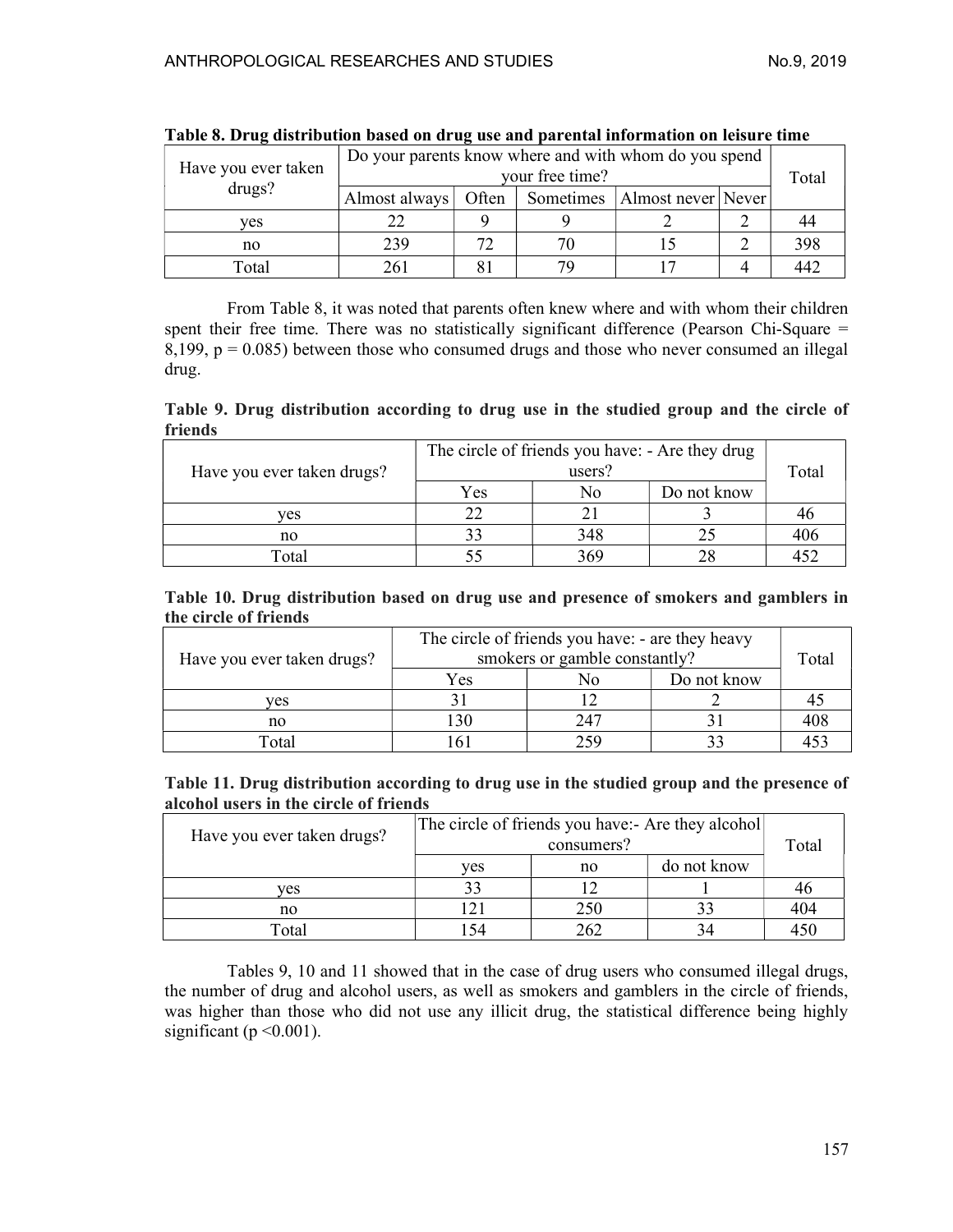| Have you ever taken | Do your parents know where and with whom do you spend | Total |    |                                  |     |
|---------------------|-------------------------------------------------------|-------|----|----------------------------------|-----|
| drugs?              | Almost always                                         | Often |    | Sometimes   Almost never   Never |     |
| ves                 |                                                       |       |    |                                  |     |
| no                  | 239                                                   |       | 70 |                                  | 398 |
| Total               |                                                       |       | 70 |                                  | 447 |

|  |  | Table 8. Drug distribution based on drug use and parental information on leisure time |
|--|--|---------------------------------------------------------------------------------------|
|  |  |                                                                                       |

 From Table 8, it was noted that parents often knew where and with whom their children spent their free time. There was no statistically significant difference (Pearson Chi-Square = 8,199,  $p = 0.085$ ) between those who consumed drugs and those who never consumed an illegal drug.

Table 9. Drug distribution according to drug use in the studied group and the circle of friends

| Have you ever taken drugs? | The circle of friends you have: - Are they drug | Total |             |     |
|----------------------------|-------------------------------------------------|-------|-------------|-----|
|                            | Yes                                             | No    | Do not know |     |
| ves                        |                                                 |       |             | 40  |
| no                         |                                                 | 348   |             | 406 |
| Total                      |                                                 | 369   |             |     |

Table 10. Drug distribution based on drug use and presence of smokers and gamblers in the circle of friends

|                            | The circle of friends you have: - are they heavy<br>smokers or gamble constantly? | Total |             |  |
|----------------------------|-----------------------------------------------------------------------------------|-------|-------------|--|
| Have you ever taken drugs? |                                                                                   |       |             |  |
|                            | Yes                                                                               | No    | Do not know |  |
| ves                        |                                                                                   |       |             |  |
| no                         | 130                                                                               | 247   |             |  |
| Total                      |                                                                                   | າ<ດ   |             |  |

Table 11. Drug distribution according to drug use in the studied group and the presence of alcohol users in the circle of friends

| Have you ever taken drugs? | The circle of friends you have:- Are they alcohol | Total |             |     |
|----------------------------|---------------------------------------------------|-------|-------------|-----|
|                            | ves                                               | no    | do not know |     |
| ves                        | 33                                                |       |             | 40  |
| no                         |                                                   | 250   |             | 404 |
| Total                      | 54                                                | 262   |             | 450 |

Tables 9, 10 and 11 showed that in the case of drug users who consumed illegal drugs, the number of drug and alcohol users, as well as smokers and gamblers in the circle of friends, was higher than those who did not use any illicit drug, the statistical difference being highly significant ( $p \le 0.001$ ).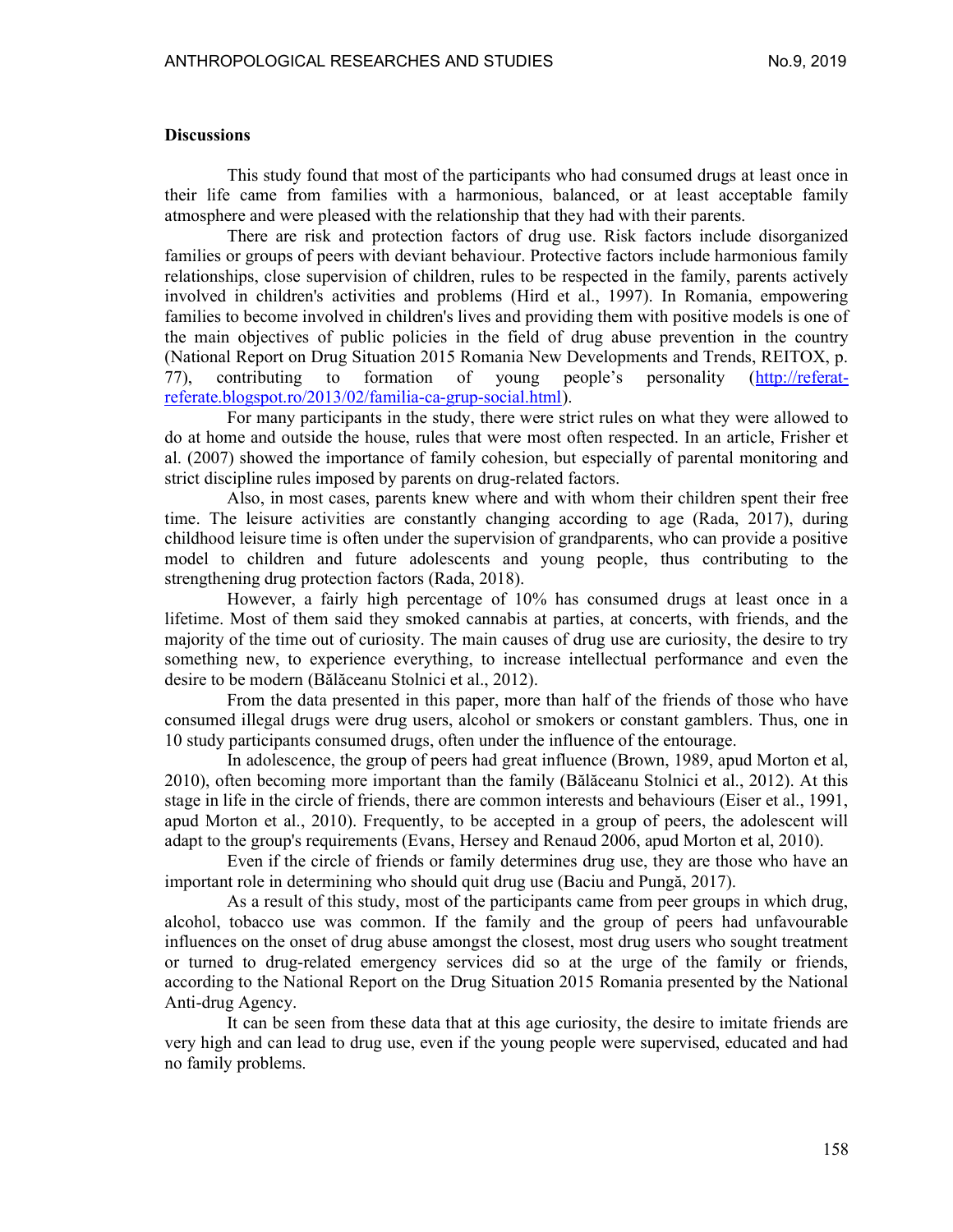#### **Discussions**

This study found that most of the participants who had consumed drugs at least once in their life came from families with a harmonious, balanced, or at least acceptable family atmosphere and were pleased with the relationship that they had with their parents.

There are risk and protection factors of drug use. Risk factors include disorganized families or groups of peers with deviant behaviour. Protective factors include harmonious family relationships, close supervision of children, rules to be respected in the family, parents actively involved in children's activities and problems (Hird et al., 1997). In Romania, empowering families to become involved in children's lives and providing them with positive models is one of the main objectives of public policies in the field of drug abuse prevention in the country (National Report on Drug Situation 2015 Romania New Developments and Trends, REITOX, p. 77), contributing to formation of young people's personality (http://referatreferate.blogspot.ro/2013/02/familia-ca-grup-social.html).

For many participants in the study, there were strict rules on what they were allowed to do at home and outside the house, rules that were most often respected. In an article, Frisher et al. (2007) showed the importance of family cohesion, but especially of parental monitoring and strict discipline rules imposed by parents on drug-related factors.

Also, in most cases, parents knew where and with whom their children spent their free time. The leisure activities are constantly changing according to age (Rada, 2017), during childhood leisure time is often under the supervision of grandparents, who can provide a positive model to children and future adolescents and young people, thus contributing to the strengthening drug protection factors (Rada, 2018).

However, a fairly high percentage of 10% has consumed drugs at least once in a lifetime. Most of them said they smoked cannabis at parties, at concerts, with friends, and the majority of the time out of curiosity. The main causes of drug use are curiosity, the desire to try something new, to experience everything, to increase intellectual performance and even the desire to be modern (Bălăceanu Stolnici et al., 2012).

From the data presented in this paper, more than half of the friends of those who have consumed illegal drugs were drug users, alcohol or smokers or constant gamblers. Thus, one in 10 study participants consumed drugs, often under the influence of the entourage.

In adolescence, the group of peers had great influence (Brown, 1989, apud Morton et al, 2010), often becoming more important than the family (Bălăceanu Stolnici et al., 2012). At this stage in life in the circle of friends, there are common interests and behaviours (Eiser et al., 1991, apud Morton et al., 2010). Frequently, to be accepted in a group of peers, the adolescent will adapt to the group's requirements (Evans, Hersey and Renaud 2006, apud Morton et al, 2010).

Even if the circle of friends or family determines drug use, they are those who have an important role in determining who should quit drug use (Baciu and Pungă, 2017).

As a result of this study, most of the participants came from peer groups in which drug, alcohol, tobacco use was common. If the family and the group of peers had unfavourable influences on the onset of drug abuse amongst the closest, most drug users who sought treatment or turned to drug-related emergency services did so at the urge of the family or friends, according to the National Report on the Drug Situation 2015 Romania presented by the National Anti-drug Agency.

It can be seen from these data that at this age curiosity, the desire to imitate friends are very high and can lead to drug use, even if the young people were supervised, educated and had no family problems.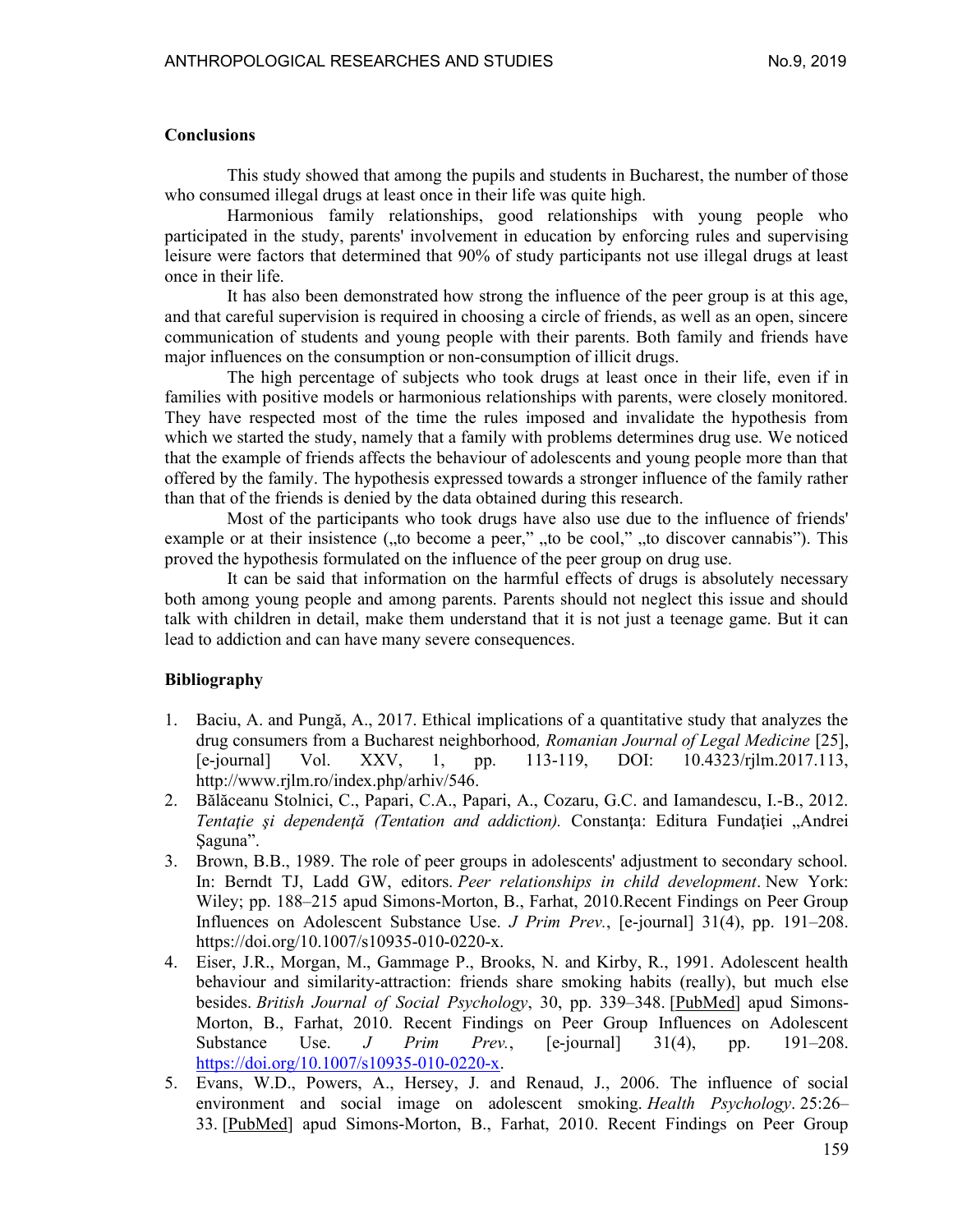#### **Conclusions**

This study showed that among the pupils and students in Bucharest, the number of those who consumed illegal drugs at least once in their life was quite high.

Harmonious family relationships, good relationships with young people who participated in the study, parents' involvement in education by enforcing rules and supervising leisure were factors that determined that 90% of study participants not use illegal drugs at least once in their life.

It has also been demonstrated how strong the influence of the peer group is at this age, and that careful supervision is required in choosing a circle of friends, as well as an open, sincere communication of students and young people with their parents. Both family and friends have major influences on the consumption or non-consumption of illicit drugs.

The high percentage of subjects who took drugs at least once in their life, even if in families with positive models or harmonious relationships with parents, were closely monitored. They have respected most of the time the rules imposed and invalidate the hypothesis from which we started the study, namely that a family with problems determines drug use. We noticed that the example of friends affects the behaviour of adolescents and young people more than that offered by the family. The hypothesis expressed towards a stronger influence of the family rather than that of the friends is denied by the data obtained during this research.

Most of the participants who took drugs have also use due to the influence of friends' example or at their insistence (,,to become a peer,", ,to be cool,", ,to discover cannabis"). This proved the hypothesis formulated on the influence of the peer group on drug use.

It can be said that information on the harmful effects of drugs is absolutely necessary both among young people and among parents. Parents should not neglect this issue and should talk with children in detail, make them understand that it is not just a teenage game. But it can lead to addiction and can have many severe consequences.

### Bibliography

- 1. Baciu, A. and Pungă, A., 2017. Ethical implications of a quantitative study that analyzes the drug consumers from a Bucharest neighborhood, Romanian Journal of Legal Medicine [25], [e-journal] Vol. XXV, 1, pp. 113-119, DOI: 10.4323/rjlm.2017.113, http://www.rjlm.ro/index.php/arhiv/546.
- 2. Bălăceanu Stolnici, C., Papari, C.A., Papari, A., Cozaru, G.C. and Iamandescu, I.-B., 2012. Tentație și dependență (Tentation and addiction). Constanța: Editura Fundației "Andrei Saguna".
- 3. Brown, B.B., 1989. The role of peer groups in adolescents' adjustment to secondary school. In: Berndt TJ, Ladd GW, editors. Peer relationships in child development. New York: Wiley; pp. 188–215 apud Simons-Morton, B., Farhat, 2010.Recent Findings on Peer Group Influences on Adolescent Substance Use. J Prim Prev., [e-journal] 31(4), pp. 191–208. https://doi.org/10.1007/s10935-010-0220-x.
- 4. Eiser, J.R., Morgan, M., Gammage P., Brooks, N. and Kirby, R., 1991. Adolescent health behaviour and similarity-attraction: friends share smoking habits (really), but much else besides. British Journal of Social Psychology, 30, pp. 339–348. [PubMed] apud Simons-Morton, B., Farhat, 2010. Recent Findings on Peer Group Influences on Adolescent Substance Use. *J Prim Prev.*,  $[e$ -journal  $]$  31(4), pp. 191–208. https://doi.org/10.1007/s10935-010-0220-x.
- 5. Evans, W.D., Powers, A., Hersey, J. and Renaud, J., 2006. The influence of social environment and social image on adolescent smoking. Health Psychology. 25:26– 33. [PubMed] apud Simons-Morton, B., Farhat, 2010. Recent Findings on Peer Group